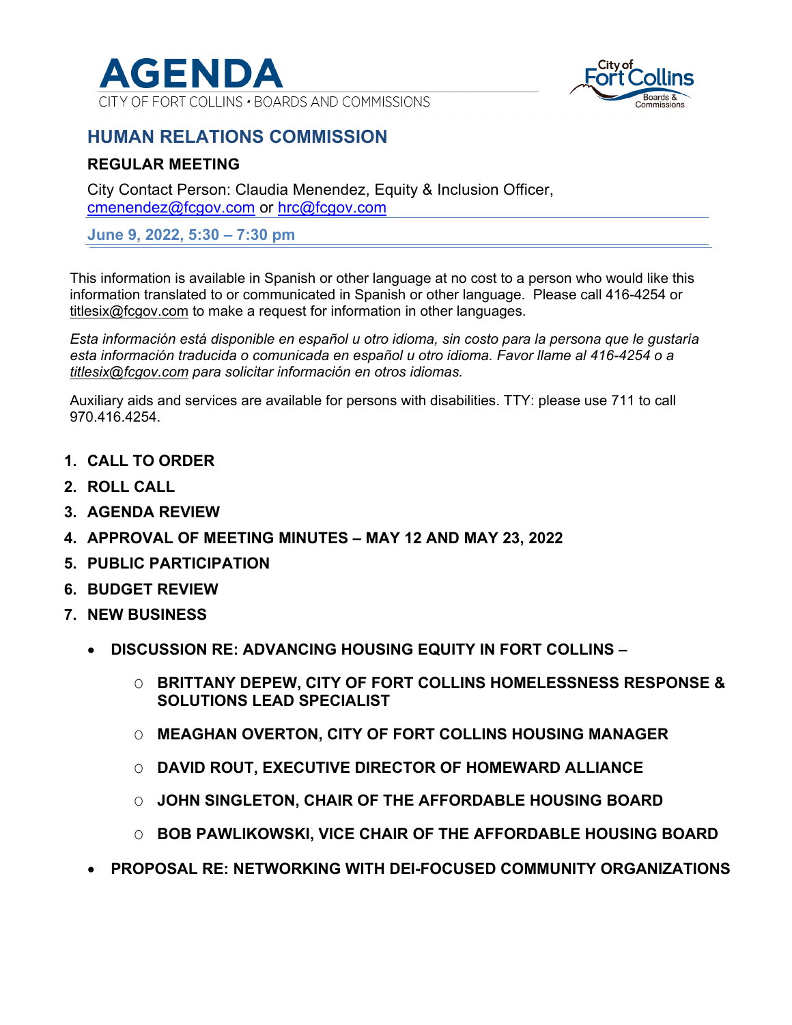

CITY OF FORT COLLINS . BOARDS AND COMMISSIONS



# **HUMAN RELATIONS COMMISSION**

### **REGULAR MEETING**

City Contact Person: Claudia Menendez, Equity & Inclusion Officer, cmenendez@fcgov.com or hrc@fcgov.com

**June 9, 2022, 5:30 – 7:30 pm** 

This information is available in Spanish or other language at no cost to a person who would like this information translated to or communicated in Spanish or other language. Please call 416-4254 or titlesix@fcgov.com to make a request for information in other languages.

*Esta información está disponible en español u otro idioma, sin costo para la persona que le gustaría esta información traducida o comunicada en español u otro idioma. Favor llame al 416-4254 o a titlesix@fcgov.com para solicitar información en otros idiomas.* 

Auxiliary aids and services are available for persons with disabilities. TTY: please use 711 to call 970.416.4254.

- **1. CALL TO ORDER**
- **2. ROLL CALL**
- **3. AGENDA REVIEW**
- **4. APPROVAL OF MEETING MINUTES MAY 12 AND MAY 23, 2022**
- **5. PUBLIC PARTICIPATION**
- **6. BUDGET REVIEW**
- **7. NEW BUSINESS** 
	- **DISCUSSION RE: ADVANCING HOUSING EQUITY IN FORT COLLINS** 
		- O **BRITTANY DEPEW, CITY OF FORT COLLINS HOMELESSNESS RESPONSE & SOLUTIONS LEAD SPECIALIST**
		- O **MEAGHAN OVERTON, CITY OF FORT COLLINS HOUSING MANAGER**
		- O **DAVID ROUT, EXECUTIVE DIRECTOR OF HOMEWARD ALLIANCE**
		- O **JOHN SINGLETON, CHAIR OF THE AFFORDABLE HOUSING BOARD**
		- O **BOB PAWLIKOWSKI, VICE CHAIR OF THE AFFORDABLE HOUSING BOARD**
	- **PROPOSAL RE: NETWORKING WITH DEI-FOCUSED COMMUNITY ORGANIZATIONS**